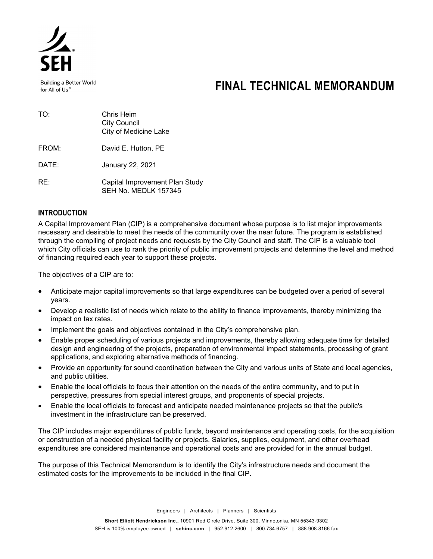

**Building a Better World** for All of Us®

# **FINAL TECHNICAL MEMORANDUM**

| TO:   | Chris Heim<br><b>City Council</b><br>City of Medicine Lake |
|-------|------------------------------------------------------------|
| FROM: | David E. Hutton, PE                                        |

DATE: January 22, 2021

RE: Capital Improvement Plan Study SEH No. MEDLK 157345

# **INTRODUCTION**

A Capital Improvement Plan (CIP) is a comprehensive document whose purpose is to list major improvements necessary and desirable to meet the needs of the community over the near future. The program is established through the compiling of project needs and requests by the City Council and staff. The CIP is a valuable tool which City officials can use to rank the priority of public improvement projects and determine the level and method of financing required each year to support these projects.

The objectives of a CIP are to:

- Anticipate major capital improvements so that large expenditures can be budgeted over a period of several years.
- Develop a realistic list of needs which relate to the ability to finance improvements, thereby minimizing the impact on tax rates.
- Implement the goals and objectives contained in the City's comprehensive plan.
- Enable proper scheduling of various projects and improvements, thereby allowing adequate time for detailed design and engineering of the projects, preparation of environmental impact statements, processing of grant applications, and exploring alternative methods of financing.
- Provide an opportunity for sound coordination between the City and various units of State and local agencies, and public utilities.
- Enable the local officials to focus their attention on the needs of the entire community, and to put in perspective, pressures from special interest groups, and proponents of special projects.
- Enable the local officials to forecast and anticipate needed maintenance projects so that the public's investment in the infrastructure can be preserved.

The CIP includes major expenditures of public funds, beyond maintenance and operating costs, for the acquisition or construction of a needed physical facility or projects. Salaries, supplies, equipment, and other overhead expenditures are considered maintenance and operational costs and are provided for in the annual budget.

The purpose of this Technical Memorandum is to identify the City's infrastructure needs and document the estimated costs for the improvements to be included in the final CIP.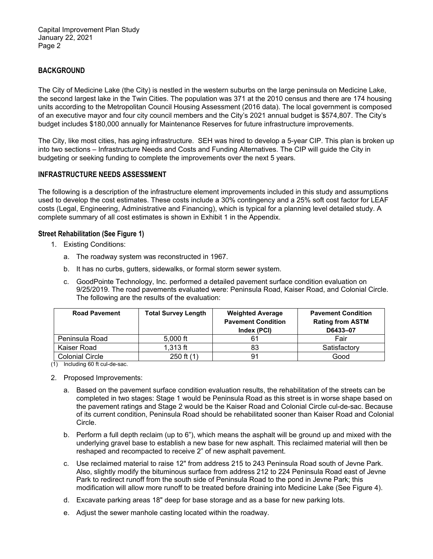Capital Improvement Plan Study January 22, 2021 Page 2

## **BACKGROUND**

The City of Medicine Lake (the City) is nestled in the western suburbs on the large peninsula on Medicine Lake, the second largest lake in the Twin Cities. The population was 371 at the 2010 census and there are 174 housing units according to the Metropolitan Council Housing Assessment (2016 data). The local government is composed of an executive mayor and four city council members and the City's 2021 annual budget is \$574,807. The City's budget includes \$180,000 annually for Maintenance Reserves for future infrastructure improvements.

The City, like most cities, has aging infrastructure. SEH was hired to develop a 5-year CIP. This plan is broken up into two sections – Infrastructure Needs and Costs and Funding Alternatives. The CIP will guide the City in budgeting or seeking funding to complete the improvements over the next 5 years.

## **INFRASTRUCTURE NEEDS ASSESSMENT**

The following is a description of the infrastructure element improvements included in this study and assumptions used to develop the cost estimates. These costs include a 30% contingency and a 25% soft cost factor for LEAF costs (Legal, Engineering, Administrative and Financing), which is typical for a planning level detailed study. A complete summary of all cost estimates is shown in Exhibit 1 in the Appendix.

#### **Street Rehabilitation (See Figure 1)**

- 1. Existing Conditions:
	- a. The roadway system was reconstructed in 1967.
	- b. It has no curbs, gutters, sidewalks, or formal storm sewer system.
	- c. GoodPointe Technology, Inc. performed a detailed pavement surface condition evaluation on 9/25/2019. The road pavements evaluated were: Peninsula Road, Kaiser Road, and Colonial Circle. The following are the results of the evaluation:

| <b>Road Pavement</b>   | <b>Total Survey Length</b> | <b>Weighted Average</b><br><b>Pavement Condition</b><br>Index (PCI) | <b>Pavement Condition</b><br><b>Rating from ASTM</b><br>D6433-07 |
|------------------------|----------------------------|---------------------------------------------------------------------|------------------------------------------------------------------|
| Peninsula Road         | $5,000$ ft                 | 61                                                                  | Fair                                                             |
| Kaiser Road            | $1,313$ ft                 | 83                                                                  | Satisfactory                                                     |
| <b>Colonial Circle</b> | 250 ft $(1)$               | 91                                                                  | Good                                                             |

(1) Including 60 ft cul-de-sac.

- 2. Proposed Improvements:
	- a. Based on the pavement surface condition evaluation results, the rehabilitation of the streets can be completed in two stages: Stage 1 would be Peninsula Road as this street is in worse shape based on the pavement ratings and Stage 2 would be the Kaiser Road and Colonial Circle cul-de-sac. Because of its current condition, Peninsula Road should be rehabilitated sooner than Kaiser Road and Colonial Circle.
	- b. Perform a full depth reclaim (up to 6"), which means the asphalt will be ground up and mixed with the underlying gravel base to establish a new base for new asphalt. This reclaimed material will then be reshaped and recompacted to receive 2" of new asphalt pavement.
	- c. Use reclaimed material to raise 12" from address 215 to 243 Peninsula Road south of Jevne Park. Also, slightly modify the bituminous surface from address 212 to 224 Peninsula Road east of Jevne Park to redirect runoff from the south side of Peninsula Road to the pond in Jevne Park; this modification will allow more runoff to be treated before draining into Medicine Lake (See Figure 4).
	- d. Excavate parking areas 18" deep for base storage and as a base for new parking lots.
	- e. Adjust the sewer manhole casting located within the roadway.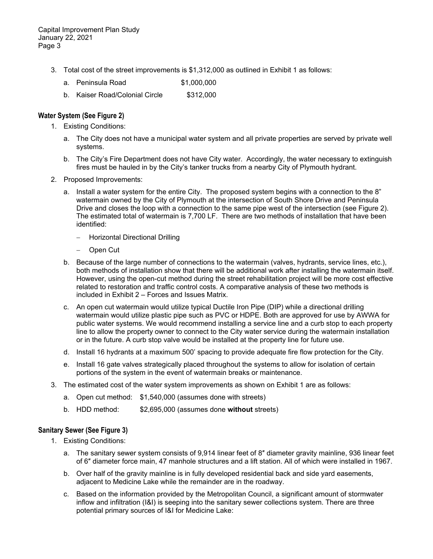- 3. Total cost of the street improvements is \$1,312,000 as outlined in Exhibit 1 as follows:
	- a. Peninsula Road \$1,000,000
	- b. Kaiser Road/Colonial Circle \$312,000

## **Water System (See Figure 2)**

- 1. Existing Conditions:
	- a. The City does not have a municipal water system and all private properties are served by private well systems.
	- b. The City's Fire Department does not have City water. Accordingly, the water necessary to extinguish fires must be hauled in by the City's tanker trucks from a nearby City of Plymouth hydrant.
- 2. Proposed Improvements:
	- a. Install a water system for the entire City. The proposed system begins with a connection to the 8" watermain owned by the City of Plymouth at the intersection of South Shore Drive and Peninsula Drive and closes the loop with a connection to the same pipe west of the intersection (see Figure 2). The estimated total of watermain is 7,700 LF. There are two methods of installation that have been identified:
		- Horizontal Directional Drilling
		- Open Cut
	- b. Because of the large number of connections to the watermain (valves, hydrants, service lines, etc.), both methods of installation show that there will be additional work after installing the watermain itself. However, using the open-cut method during the street rehabilitation project will be more cost effective related to restoration and traffic control costs. A comparative analysis of these two methods is included in Exhibit 2 – Forces and Issues Matrix.
	- c. An open cut watermain would utilize typical Ductile Iron Pipe (DIP) while a directional drilling watermain would utilize plastic pipe such as PVC or HDPE. Both are approved for use by AWWA for public water systems. We would recommend installing a service line and a curb stop to each property line to allow the property owner to connect to the City water service during the watermain installation or in the future. A curb stop valve would be installed at the property line for future use.
	- d. Install 16 hydrants at a maximum 500' spacing to provide adequate fire flow protection for the City.
	- e. Install 16 gate valves strategically placed throughout the systems to allow for isolation of certain portions of the system in the event of watermain breaks or maintenance.
- 3. The estimated cost of the water system improvements as shown on Exhibit 1 are as follows:
	- a. Open cut method: \$1,540,000 (assumes done with streets)
	- b. HDD method: \$2,695,000 (assumes done **without** streets)

#### **Sanitary Sewer (See Figure 3)**

- 1. Existing Conditions:
	- a. The sanitary sewer system consists of 9,914 linear feet of 8″ diameter gravity mainline, 936 linear feet of 6″ diameter force main, 47 manhole structures and a lift station. All of which were installed in 1967.
	- b. Over half of the gravity mainline is in fully developed residential back and side yard easements, adjacent to Medicine Lake while the remainder are in the roadway.
	- c. Based on the information provided by the Metropolitan Council, a significant amount of stormwater inflow and infiltration (I&I) is seeping into the sanitary sewer collections system. There are three potential primary sources of I&I for Medicine Lake: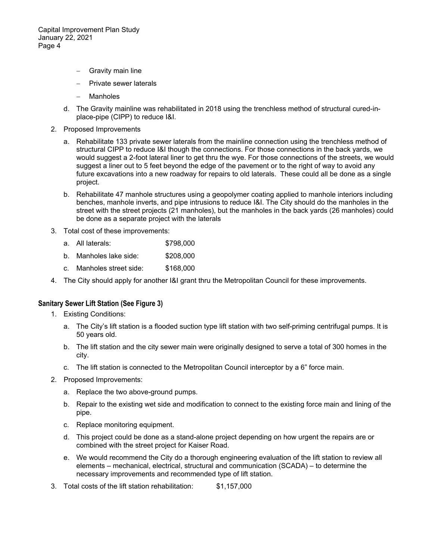Capital Improvement Plan Study January 22, 2021 Page 4

- Gravity main line
- Private sewer laterals
- Manholes
- d. The Gravity mainline was rehabilitated in 2018 using the trenchless method of structural cured-inplace-pipe (CIPP) to reduce I&I.
- 2. Proposed Improvements
	- a. Rehabilitate 133 private sewer laterals from the mainline connection using the trenchless method of structural CIPP to reduce I&I though the connections. For those connections in the back yards, we would suggest a 2-foot lateral liner to get thru the wye. For those connections of the streets, we would suggest a liner out to 5 feet beyond the edge of the pavement or to the right of way to avoid any future excavations into a new roadway for repairs to old laterals. These could all be done as a single project.
	- b. Rehabilitate 47 manhole structures using a geopolymer coating applied to manhole interiors including benches, manhole inverts, and pipe intrusions to reduce I&I. The City should do the manholes in the street with the street projects (21 manholes), but the manholes in the back yards (26 manholes) could be done as a separate project with the laterals
- 3. Total cost of these improvements:
	- a. All laterals: \$798,000
	- b. Manholes lake side: \$208,000
	- c. Manholes street side: \$168,000
- 4. The City should apply for another I&I grant thru the Metropolitan Council for these improvements.

## **Sanitary Sewer Lift Station (See Figure 3)**

- 1. Existing Conditions:
	- a. The City's lift station is a flooded suction type lift station with two self-priming centrifugal pumps. It is 50 years old.
	- b. The lift station and the city sewer main were originally designed to serve a total of 300 homes in the city.
	- c. The lift station is connected to the Metropolitan Council interceptor by a 6" force main.
- 2. Proposed Improvements:
	- a. Replace the two above-ground pumps.
	- b. Repair to the existing wet side and modification to connect to the existing force main and lining of the pipe.
	- c. Replace monitoring equipment.
	- d. This project could be done as a stand-alone project depending on how urgent the repairs are or combined with the street project for Kaiser Road.
	- e. We would recommend the City do a thorough engineering evaluation of the lift station to review all elements – mechanical, electrical, structural and communication (SCADA) – to determine the necessary improvements and recommended type of lift station.
- 3. Total costs of the lift station rehabilitation: \$1,157,000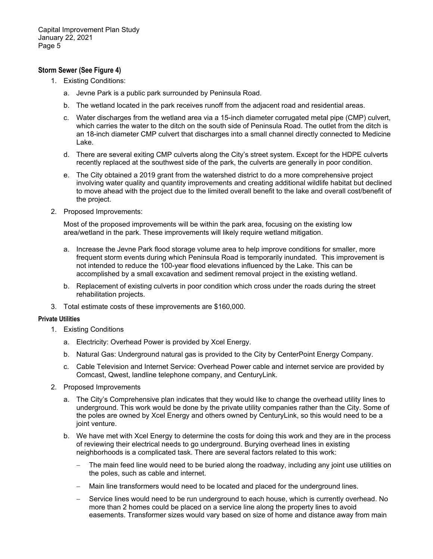## **Storm Sewer (See Figure 4)**

- 1. Existing Conditions:
	- a. Jevne Park is a public park surrounded by Peninsula Road.
	- b. The wetland located in the park receives runoff from the adjacent road and residential areas.
	- c. Water discharges from the wetland area via a 15-inch diameter corrugated metal pipe (CMP) culvert, which carries the water to the ditch on the south side of Peninsula Road. The outlet from the ditch is an 18-inch diameter CMP culvert that discharges into a small channel directly connected to Medicine Lake.
	- d. There are several exiting CMP culverts along the City's street system. Except for the HDPE culverts recently replaced at the southwest side of the park, the culverts are generally in poor condition.
	- e. The City obtained a 2019 grant from the watershed district to do a more comprehensive project involving water quality and quantity improvements and creating additional wildlife habitat but declined to move ahead with the project due to the limited overall benefit to the lake and overall cost/benefit of the project.
- 2. Proposed Improvements:

Most of the proposed improvements will be within the park area, focusing on the existing low area/wetland in the park. These improvements will likely require wetland mitigation.

- a. Increase the Jevne Park flood storage volume area to help improve conditions for smaller, more frequent storm events during which Peninsula Road is temporarily inundated. This improvement is not intended to reduce the 100-year flood elevations influenced by the Lake. This can be accomplished by a small excavation and sediment removal project in the existing wetland.
- b. Replacement of existing culverts in poor condition which cross under the roads during the street rehabilitation projects.
- 3. Total estimate costs of these improvements are \$160,000.

#### **Private Utilities**

- 1. Existing Conditions
	- a. Electricity: Overhead Power is provided by Xcel Energy.
	- b. Natural Gas: Underground natural gas is provided to the City by CenterPoint Energy Company.
	- c. Cable Television and Internet Service: Overhead Power cable and internet service are provided by Comcast, Qwest, landline telephone company, and CenturyLink.
- 2. Proposed Improvements
	- a. The City's Comprehensive plan indicates that they would like to change the overhead utility lines to underground. This work would be done by the private utility companies rather than the City. Some of the poles are owned by Xcel Energy and others owned by CenturyLink, so this would need to be a joint venture.
	- b. We have met with Xcel Energy to determine the costs for doing this work and they are in the process of reviewing their electrical needs to go underground. Burying overhead lines in existing neighborhoods is a complicated task. There are several factors related to this work:
		- The main feed line would need to be buried along the roadway, including any joint use utilities on the poles, such as cable and internet.
		- Main line transformers would need to be located and placed for the underground lines.
		- Service lines would need to be run underground to each house, which is currently overhead. No more than 2 homes could be placed on a service line along the property lines to avoid easements. Transformer sizes would vary based on size of home and distance away from main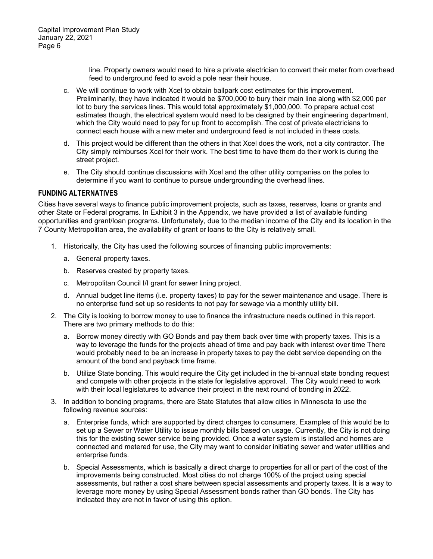line. Property owners would need to hire a private electrician to convert their meter from overhead feed to underground feed to avoid a pole near their house.

- c. We will continue to work with Xcel to obtain ballpark cost estimates for this improvement. Preliminarily, they have indicated it would be \$700,000 to bury their main line along with \$2,000 per lot to bury the services lines. This would total approximately \$1,000,000. To prepare actual cost estimates though, the electrical system would need to be designed by their engineering department, which the City would need to pay for up front to accomplish. The cost of private electricians to connect each house with a new meter and underground feed is not included in these costs.
- d. This project would be different than the others in that Xcel does the work, not a city contractor. The City simply reimburses Xcel for their work. The best time to have them do their work is during the street project.
- e. The City should continue discussions with Xcel and the other utility companies on the poles to determine if you want to continue to pursue undergrounding the overhead lines.

## **FUNDING ALTERNATIVES**

Cities have several ways to finance public improvement projects, such as taxes, reserves, loans or grants and other State or Federal programs. In Exhibit 3 in the Appendix, we have provided a list of available funding opportunities and grant/loan programs. Unfortunately, due to the median income of the City and its location in the 7 County Metropolitan area, the availability of grant or loans to the City is relatively small.

- 1. Historically, the City has used the following sources of financing public improvements:
	- a. General property taxes.
	- b. Reserves created by property taxes.
	- c. Metropolitan Council I/I grant for sewer lining project.
	- d. Annual budget line items (i.e. property taxes) to pay for the sewer maintenance and usage. There is no enterprise fund set up so residents to not pay for sewage via a monthly utility bill.
- 2. The City is looking to borrow money to use to finance the infrastructure needs outlined in this report. There are two primary methods to do this:
	- a. Borrow money directly with GO Bonds and pay them back over time with property taxes. This is a way to leverage the funds for the projects ahead of time and pay back with interest over time There would probably need to be an increase in property taxes to pay the debt service depending on the amount of the bond and payback time frame.
	- b. Utilize State bonding. This would require the City get included in the bi-annual state bonding request and compete with other projects in the state for legislative approval. The City would need to work with their local legislatures to advance their project in the next round of bonding in 2022.
- 3. In addition to bonding programs, there are State Statutes that allow cities in Minnesota to use the following revenue sources:
	- a. Enterprise funds, which are supported by direct charges to consumers. Examples of this would be to set up a Sewer or Water Utility to issue monthly bills based on usage. Currently, the City is not doing this for the existing sewer service being provided. Once a water system is installed and homes are connected and metered for use, the City may want to consider initiating sewer and water utilities and enterprise funds.
	- b. Special Assessments, which is basically a direct charge to properties for all or part of the cost of the improvements being constructed. Most cities do not charge 100% of the project using special assessments, but rather a cost share between special assessments and property taxes. It is a way to leverage more money by using Special Assessment bonds rather than GO bonds. The City has indicated they are not in favor of using this option.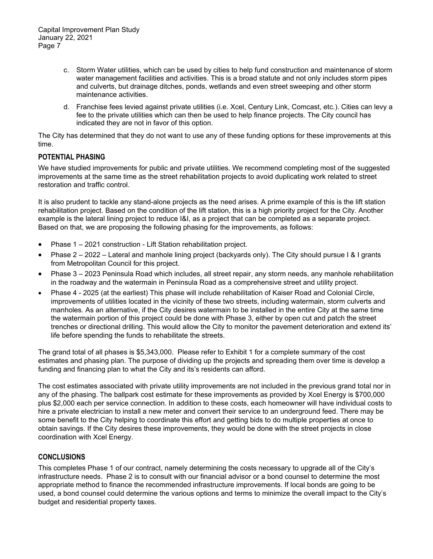- c. Storm Water utilities, which can be used by cities to help fund construction and maintenance of storm water management facilities and activities. This is a broad statute and not only includes storm pipes and culverts, but drainage ditches, ponds, wetlands and even street sweeping and other storm maintenance activities.
- d. Franchise fees levied against private utilities (i.e. Xcel, Century Link, Comcast, etc.). Cities can levy a fee to the private utilities which can then be used to help finance projects. The City council has indicated they are not in favor of this option.

The City has determined that they do not want to use any of these funding options for these improvements at this time.

# **POTENTIAL PHASING**

We have studied improvements for public and private utilities. We recommend completing most of the suggested improvements at the same time as the street rehabilitation projects to avoid duplicating work related to street restoration and traffic control.

It is also prudent to tackle any stand-alone projects as the need arises. A prime example of this is the lift station rehabilitation project. Based on the condition of the lift station, this is a high priority project for the City. Another example is the lateral lining project to reduce I&I, as a project that can be completed as a separate project. Based on that, we are proposing the following phasing for the improvements, as follows:

- Phase 1 2021 construction Lift Station rehabilitation project.
- Phase 2 2022 Lateral and manhole lining project (backyards only). The City should pursue I & I grants from Metropolitan Council for this project.
- Phase 3 2023 Peninsula Road which includes, all street repair, any storm needs, any manhole rehabilitation in the roadway and the watermain in Peninsula Road as a comprehensive street and utility project.
- Phase 4 2025 (at the earliest) This phase will include rehabilitation of Kaiser Road and Colonial Circle, improvements of utilities located in the vicinity of these two streets, including watermain, storm culverts and manholes. As an alternative, if the City desires watermain to be installed in the entire City at the same time the watermain portion of this project could be done with Phase 3, either by open cut and patch the street trenches or directional drilling. This would allow the City to monitor the pavement deterioration and extend its' life before spending the funds to rehabilitate the streets.

The grand total of all phases is \$5,343,000. Please refer to Exhibit 1 for a complete summary of the cost estimates and phasing plan. The purpose of dividing up the projects and spreading them over time is develop a funding and financing plan to what the City and its's residents can afford.

The cost estimates associated with private utility improvements are not included in the previous grand total nor in any of the phasing. The ballpark cost estimate for these improvements as provided by Xcel Energy is \$700,000 plus \$2,000 each per service connection. In addition to these costs, each homeowner will have individual costs to hire a private electrician to install a new meter and convert their service to an underground feed. There may be some benefit to the City helping to coordinate this effort and getting bids to do multiple properties at once to obtain savings. If the City desires these improvements, they would be done with the street projects in close coordination with Xcel Energy.

# **CONCLUSIONS**

This completes Phase 1 of our contract, namely determining the costs necessary to upgrade all of the City's infrastructure needs. Phase 2 is to consult with our financial advisor or a bond counsel to determine the most appropriate method to finance the recommended infrastructure improvements. If local bonds are going to be used, a bond counsel could determine the various options and terms to minimize the overall impact to the City's budget and residential property taxes.